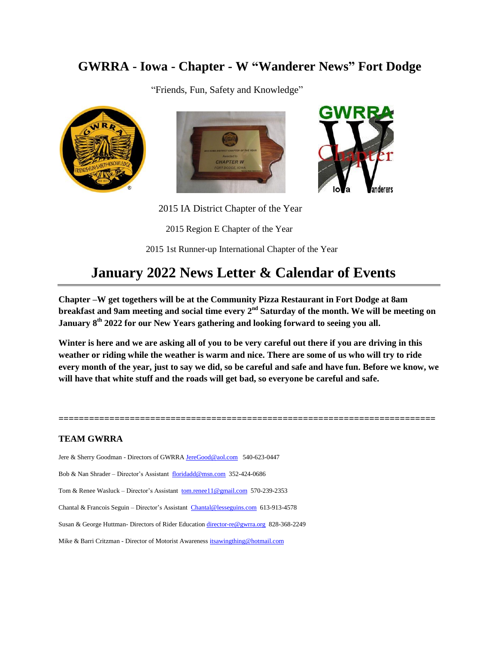## **GWRRA - Iowa - Chapter - W "Wanderer News" Fort Dodge**

"Friends, Fun, Safety and Knowledge"







2015 IA District Chapter of the Year

2015 Region E Chapter of the Year

2015 1st Runner-up International Chapter of the Year

## **January 2022 News Letter & Calendar of Events**

**Chapter –W get togethers will be at the Community Pizza Restaurant in Fort Dodge at 8am breakfast and 9am meeting and social time every 2nd Saturday of the month. We will be meeting on January 8th 2022 for our New Years gathering and looking forward to seeing you all.**

**Winter is here and we are asking all of you to be very careful out there if you are driving in this weather or riding while the weather is warm and nice. There are some of us who will try to ride every month of the year, just to say we did, so be careful and safe and have fun. Before we know, we will have that white stuff and the roads will get bad, so everyone be careful and safe.**

**==========================================================================**

#### **TEAM GWRRA**

Jere & Sherry Goodman - Directors of GWRRA [JereGood@aol.com](mailto:JereGood@aol.com) 540-623-0447 Bob & Nan Shrader – Director's Assistant [floridadd@msn.com](mailto:floridadd@msn.com) 352-424-0686 Tom & Renee Wasluck – Director's Assistant [tom.renee11@gmail.com](mailto:tom.renee11@gmail.com) 570-239-2353 Chantal & Francois Seguin – Director's Assistant [Chantal@lesseguins.com](mailto:Chantal@lesseguins.com) 613-913-4578 Susan & George Huttman- Directors of Rider Educatio[n director-re@gwrra.org](mailto:director-re@gwrra.org) 828-368-2249 Mike & Barri Critzman - Director of Motorist Awareness [itsawingthing@hotmail.com](mailto:itsawingthing@hotmail.com)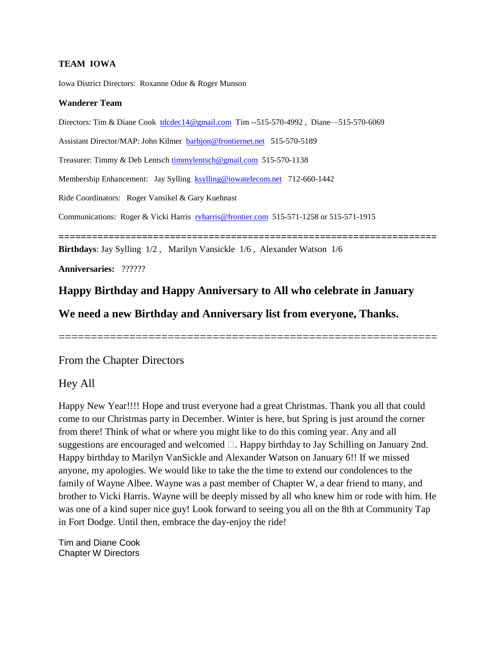#### **TEAM IOWA**

Iowa District Directors: Roxanne Odor & Roger Munson

#### **Wanderer Team**

Directors: Tim & Diane Cook [tdcdec14@gmail.com](mailto:tdcdec14@gmail.com) Tim --515-570-4992 , Diane—515-570-6069

Assistant Director/MAP: John Kilmer [barbjon@frontiernet.net](mailto:barbjon@frontiernet.net) 515-570-5189

Treasurer: Timmy & Deb Lentsch [timmylentsch@gmail.com](mailto:timmylentsch@gmail.com) 515-570-1138

Membership Enhancement: Jay Sylling [ksylling@iowatelecom.net](mailto:ksylling@iowatelecom.net) 712-660-1442

Ride Coordinators: Roger Vansikel & Gary Kuehnast

Communications: Roger & Vicki Harris [rvharris@frontier.com](mailto:rvharris@frontier.com) 515-571-1258 or 515-571-1915

**====================================================================** 

**Birthdays**: Jay Sylling 1/2 , Marilyn Vansickle 1/6 , Alexander Watson 1/6

**Anniversaries:** ??????

#### **Happy Birthday and Happy Anniversary to All who celebrate in January**

**We need a new Birthday and Anniversary list from everyone, Thanks.**

===========================================================

#### From the Chapter Directors

#### Hey All

Happy New Year!!!! Hope and trust everyone had a great Christmas. Thank you all that could come to our Christmas party in December. Winter is here, but Spring is just around the corner from there! Think of what or where you might like to do this coming year. Any and all suggestions are encouraged and welcomed  $\Box$ . Happy birthday to Jay Schilling on January 2nd. Happy birthday to Marilyn VanSickle and Alexander Watson on January 6!! If we missed anyone, my apologies. We would like to take the the time to extend our condolences to the family of Wayne Albee. Wayne was a past member of Chapter W, a dear friend to many, and brother to Vicki Harris. Wayne will be deeply missed by all who knew him or rode with him. He was one of a kind super nice guy! Look forward to seeing you all on the 8th at Community Tap in Fort Dodge. Until then, embrace the day-enjoy the ride!

Tim and Diane Cook Chapter W Directors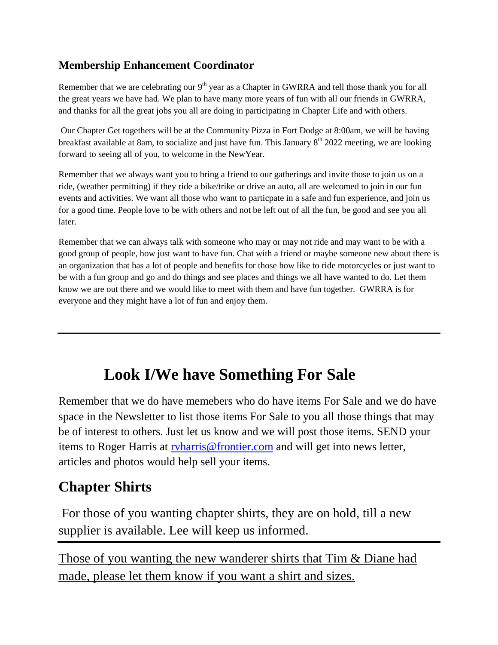#### **Membership Enhancement Coordinator**

Remember that we are celebrating our  $9<sup>th</sup>$  year as a Chapter in GWRRA and tell those thank you for all the great years we have had. We plan to have many more years of fun with all our friends in GWRRA, and thanks for all the great jobs you all are doing in participating in Chapter Life and with others.

Our Chapter Get togethers will be at the Community Pizza in Fort Dodge at 8:00am, we will be having breakfast available at 8am, to socialize and just have fun. This January  $8<sup>th</sup>$  2022 meeting, we are looking forward to seeing all of you, to welcome in the NewYear.

Remember that we always want you to bring a friend to our gatherings and invite those to join us on a ride, (weather permitting) if they ride a bike/trike or drive an auto, all are welcomed to join in our fun events and activities. We want all those who want to particpate in a safe and fun experience, and join us for a good time. People love to be with others and not be left out of all the fun, be good and see you all later.

Remember that we can always talk with someone who may or may not ride and may want to be with a good group of people, how just want to have fun. Chat with a friend or maybe someone new about there is an organization that has a lot of people and benefits for those how like to ride motorcycles or just want to be with a fun group and go and do things and see places and things we all have wanted to do. Let them know we are out there and we would like to meet with them and have fun together. GWRRA is for everyone and they might have a lot of fun and enjoy them.

## **Look I/We have Something For Sale**

Remember that we do have memebers who do have items For Sale and we do have space in the Newsletter to list those items For Sale to you all those things that may be of interest to others. Just let us know and we will post those items. SEND your items to Roger Harris at [rvharris@frontier.com](mailto:rvharris@frontier.com) and will get into news letter, articles and photos would help sell your items.

## **Chapter Shirts**

For those of you wanting chapter shirts, they are on hold, till a new supplier is available. Lee will keep us informed.

Those of you wanting the new wanderer shirts that Tim & Diane had made, please let them know if you want a shirt and sizes.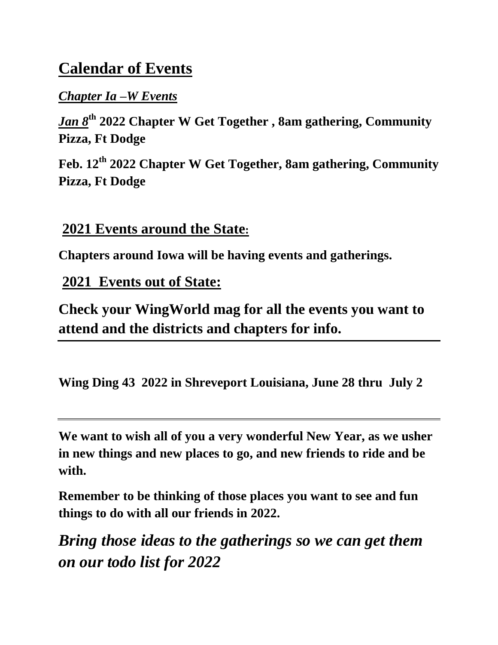## **Calendar of Events**

## *Chapter Ia –W Events*

*Jan 8***th 2022 Chapter W Get Together , 8am gathering, Community Pizza, Ft Dodge** 

**Feb. 12th 2022 Chapter W Get Together, 8am gathering, Community Pizza, Ft Dodge**

## **2021 Events around the State:**

**Chapters around Iowa will be having events and gatherings.**

## **2021 Events out of State:**

**Check your WingWorld mag for all the events you want to attend and the districts and chapters for info.**

**Wing Ding 43 2022 in Shreveport Louisiana, June 28 thru July 2**

**We want to wish all of you a very wonderful New Year, as we usher in new things and new places to go, and new friends to ride and be with.**

**Remember to be thinking of those places you want to see and fun things to do with all our friends in 2022.** 

*Bring those ideas to the gatherings so we can get them on our todo list for 2022*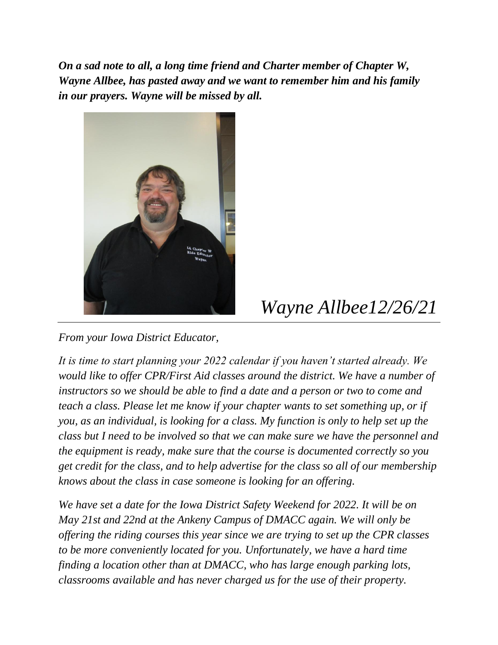*On a sad note to all, a long time friend and Charter member of Chapter W, Wayne Allbee, has pasted away and we want to remember him and his family in our prayers. Wayne will be missed by all.*



# *Wayne Allbee12/26/21*

*From your Iowa District Educator,*

*It is time to start planning your 2022 calendar if you haven't started already. We would like to offer CPR/First Aid classes around the district. We have a number of instructors so we should be able to find a date and a person or two to come and teach a class. Please let me know if your chapter wants to set something up, or if you, as an individual, is looking for a class. My function is only to help set up the class but I need to be involved so that we can make sure we have the personnel and the equipment is ready, make sure that the course is documented correctly so you get credit for the class, and to help advertise for the class so all of our membership knows about the class in case someone is looking for an offering.*

*We have set a date for the Iowa District Safety Weekend for 2022. It will be on May 21st and 22nd at the Ankeny Campus of DMACC again. We will only be offering the riding courses this year since we are trying to set up the CPR classes to be more conveniently located for you. Unfortunately, we have a hard time finding a location other than at DMACC, who has large enough parking lots, classrooms available and has never charged us for the use of their property.*